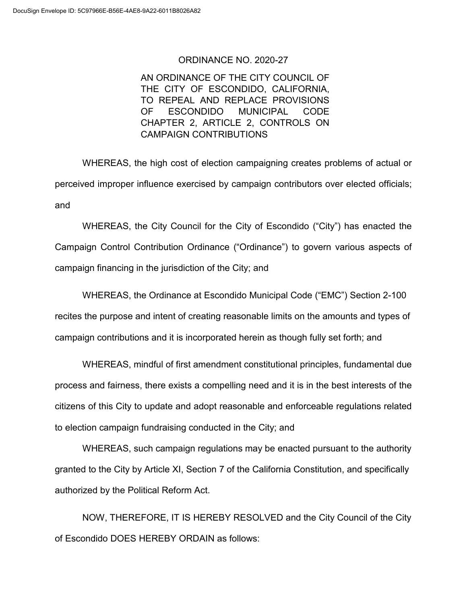## ORDINANCE NO. 2020-27

AN ORDINANCE OF THE CITY COUNCIL OF THE CITY OF ESCONDIDO, CALIFORNIA, TO REPEAL AND REPLACE PROVISIONS OF ESCONDIDO MUNICIPAL CODE CHAPTER 2, ARTICLE 2, CONTROLS ON CAMPAIGN CONTRIBUTIONS

WHEREAS, the high cost of election campaigning creates problems of actual or perceived improper influence exercised by campaign contributors over elected officials; and

WHEREAS, the City Council for the City of Escondido ("City") has enacted the Campaign Control Contribution Ordinance ("Ordinance") to govern various aspects of campaign financing in the jurisdiction of the City; and

WHEREAS, the Ordinance at Escondido Municipal Code ("EMC") Section 2-100 recites the purpose and intent of creating reasonable limits on the amounts and types of campaign contributions and it is incorporated herein as though fully set forth; and

WHEREAS, mindful of first amendment constitutional principles, fundamental due process and fairness, there exists a compelling need and it is in the best interests of the citizens of this City to update and adopt reasonable and enforceable regulations related to election campaign fundraising conducted in the City; and

WHEREAS, such campaign regulations may be enacted pursuant to the authority granted to the City by Article XI, Section 7 of the California Constitution, and specifically authorized by the Political Reform Act.

NOW, THEREFORE, IT IS HEREBY RESOLVED and the City Council of the City of Escondido DOES HEREBY ORDAIN as follows: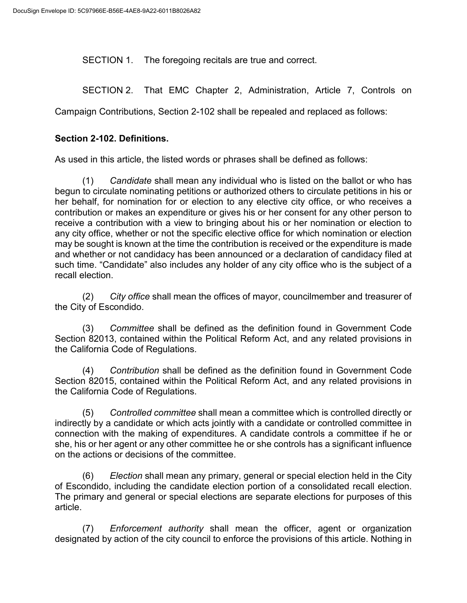SECTION 1. The foregoing recitals are true and correct.

SECTION 2. That EMC Chapter 2, Administration, Article 7, Controls on

Campaign Contributions, Section 2-102 shall be repealed and replaced as follows:

## **Section 2-102. Definitions.**

As used in this article, the listed words or phrases shall be defined as follows:

(1) *Candidate* shall mean any individual who is listed on the ballot or who has begun to circulate nominating petitions or authorized others to circulate petitions in his or her behalf, for nomination for or election to any elective city office, or who receives a contribution or makes an expenditure or gives his or her consent for any other person to receive a contribution with a view to bringing about his or her nomination or election to any city office, whether or not the specific elective office for which nomination or election may be sought is known at the time the contribution is received or the expenditure is made and whether or not candidacy has been announced or a declaration of candidacy filed at such time. "Candidate" also includes any holder of any city office who is the subject of a recall election.

(2) *City office* shall mean the offices of mayor, councilmember and treasurer of the City of Escondido.

(3) *Committee* shall be defined as the definition found in Government Code Section 82013, contained within the Political Reform Act, and any related provisions in the California Code of Regulations.

(4) *Contribution* shall be defined as the definition found in Government Code Section 82015, contained within the Political Reform Act, and any related provisions in the California Code of Regulations.

(5) *Controlled committee* shall mean a committee which is controlled directly or indirectly by a candidate or which acts jointly with a candidate or controlled committee in connection with the making of expenditures. A candidate controls a committee if he or she, his or her agent or any other committee he or she controls has a significant influence on the actions or decisions of the committee.

(6) *Election* shall mean any primary, general or special election held in the City of Escondido, including the candidate election portion of a consolidated recall election. The primary and general or special elections are separate elections for purposes of this article.

(7) *Enforcement authority* shall mean the officer, agent or organization designated by action of the city council to enforce the provisions of this article. Nothing in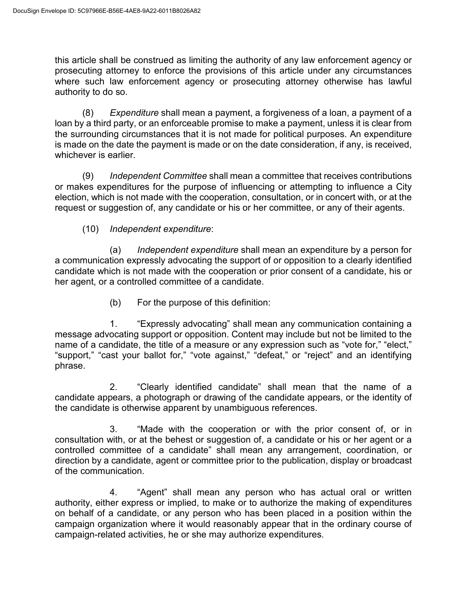this article shall be construed as limiting the authority of any law enforcement agency or prosecuting attorney to enforce the provisions of this article under any circumstances where such law enforcement agency or prosecuting attorney otherwise has lawful authority to do so.

(8) *Expenditure* shall mean a payment, a forgiveness of a loan, a payment of a loan by a third party, or an enforceable promise to make a payment, unless it is clear from the surrounding circumstances that it is not made for political purposes. An expenditure is made on the date the payment is made or on the date consideration, if any, is received, whichever is earlier.

(9) *Independent Committee* shall mean a committee that receives contributions or makes expenditures for the purpose of influencing or attempting to influence a City election, which is not made with the cooperation, consultation, or in concert with, or at the request or suggestion of, any candidate or his or her committee, or any of their agents.

(10) *Independent expenditure*:

(a) *Independent expenditure* shall mean an expenditure by a person for a communication expressly advocating the support of or opposition to a clearly identified candidate which is not made with the cooperation or prior consent of a candidate, his or her agent, or a controlled committee of a candidate.

(b) For the purpose of this definition:

1. "Expressly advocating" shall mean any communication containing a message advocating support or opposition. Content may include but not be limited to the name of a candidate, the title of a measure or any expression such as "vote for," "elect," "support," "cast your ballot for," "vote against," "defeat," or "reject" and an identifying phrase.

2. "Clearly identified candidate" shall mean that the name of a candidate appears, a photograph or drawing of the candidate appears, or the identity of the candidate is otherwise apparent by unambiguous references.

3. "Made with the cooperation or with the prior consent of, or in consultation with, or at the behest or suggestion of, a candidate or his or her agent or a controlled committee of a candidate" shall mean any arrangement, coordination, or direction by a candidate, agent or committee prior to the publication, display or broadcast of the communication.

4. "Agent" shall mean any person who has actual oral or written authority, either express or implied, to make or to authorize the making of expenditures on behalf of a candidate, or any person who has been placed in a position within the campaign organization where it would reasonably appear that in the ordinary course of campaign-related activities, he or she may authorize expenditures.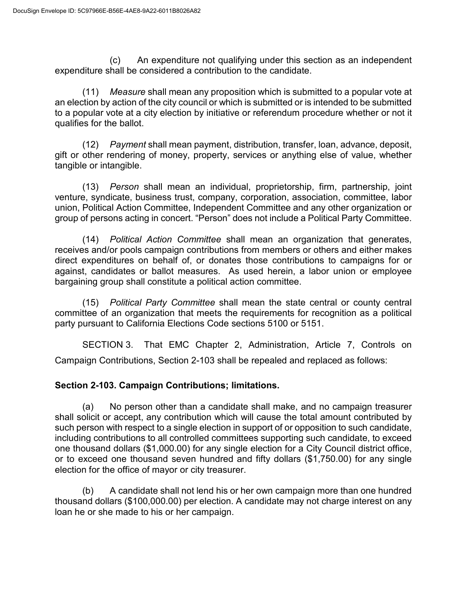(c) An expenditure not qualifying under this section as an independent expenditure shall be considered a contribution to the candidate.

(11) *Measure* shall mean any proposition which is submitted to a popular vote at an election by action of the city council or which is submitted or is intended to be submitted to a popular vote at a city election by initiative or referendum procedure whether or not it qualifies for the ballot.

(12) *Payment* shall mean payment, distribution, transfer, loan, advance, deposit, gift or other rendering of money, property, services or anything else of value, whether tangible or intangible.

(13) *Person* shall mean an individual, proprietorship, firm, partnership, joint venture, syndicate, business trust, company, corporation, association, committee, labor union, Political Action Committee, Independent Committee and any other organization or group of persons acting in concert. "Person" does not include a Political Party Committee.

(14) *Political Action Committee* shall mean an organization that generates, receives and/or pools campaign contributions from members or others and either makes direct expenditures on behalf of, or donates those contributions to campaigns for or against, candidates or ballot measures. As used herein, a labor union or employee bargaining group shall constitute a political action committee.

(15) *Political Party Committee* shall mean the state central or county central committee of an organization that meets the requirements for recognition as a political party pursuant to California Elections Code sections 5100 or 5151.

SECTION 3. That EMC Chapter 2, Administration, Article 7, Controls on Campaign Contributions, Section 2-103 shall be repealed and replaced as follows:

## **Section 2-103. Campaign Contributions; limitations.**

(a) No person other than a candidate shall make, and no campaign treasurer shall solicit or accept, any contribution which will cause the total amount contributed by such person with respect to a single election in support of or opposition to such candidate, including contributions to all controlled committees supporting such candidate, to exceed one thousand dollars (\$1,000.00) for any single election for a City Council district office, or to exceed one thousand seven hundred and fifty dollars (\$1,750.00) for any single election for the office of mayor or city treasurer.

(b) A candidate shall not lend his or her own campaign more than one hundred thousand dollars (\$100,000.00) per election. A candidate may not charge interest on any loan he or she made to his or her campaign.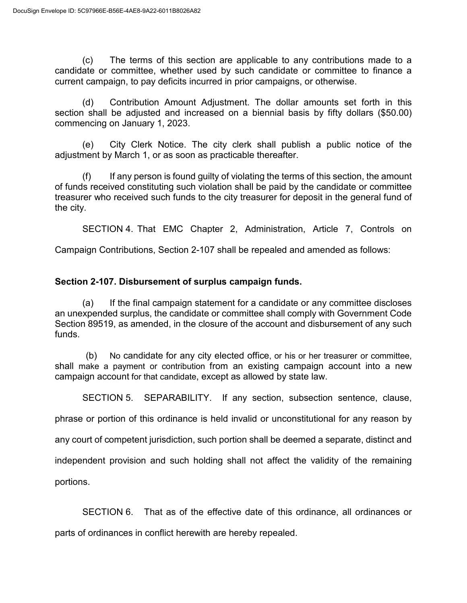(c) The terms of this section are applicable to any contributions made to a candidate or committee, whether used by such candidate or committee to finance a current campaign, to pay deficits incurred in prior campaigns, or otherwise.

(d) Contribution Amount Adjustment. The dollar amounts set forth in this section shall be adjusted and increased on a biennial basis by fifty dollars (\$50.00) commencing on January 1, 2023.

(e) City Clerk Notice. The city clerk shall publish a public notice of the adjustment by March 1, or as soon as practicable thereafter.

(f) If any person is found guilty of violating the terms of this section, the amount of funds received constituting such violation shall be paid by the candidate or committee treasurer who received such funds to the city treasurer for deposit in the general fund of the city.

SECTION 4. That EMC Chapter 2, Administration, Article 7, Controls on

Campaign Contributions, Section 2-107 shall be repealed and amended as follows:

## **Section 2-107. Disbursement of surplus campaign funds.**

(a) If the final campaign statement for a candidate or any committee discloses an unexpended surplus, the candidate or committee shall comply with Government Code Section 89519, as amended, in the closure of the account and disbursement of any such funds.

(b) No candidate for any city elected office, or his or her treasurer or committee, shall make a payment or contribution from an existing campaign account into a new campaign account for that candidate, except as allowed by state law.

SECTION 5. SEPARABILITY. If any section, subsection sentence, clause,

phrase or portion of this ordinance is held invalid or unconstitutional for any reason by

any court of competent jurisdiction, such portion shall be deemed a separate, distinct and

independent provision and such holding shall not affect the validity of the remaining

portions.

SECTION 6. That as of the effective date of this ordinance, all ordinances or parts of ordinances in conflict herewith are hereby repealed.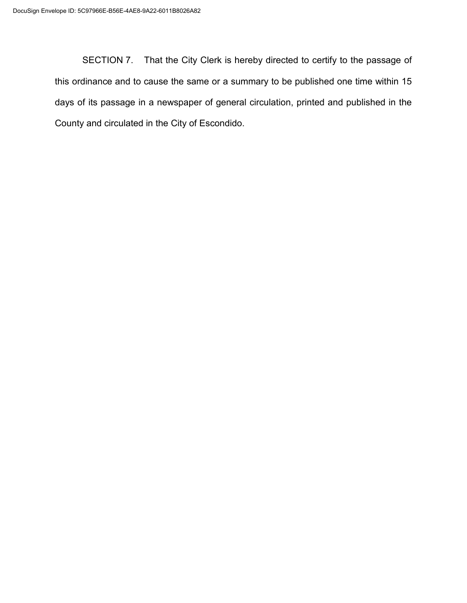SECTION 7. That the City Clerk is hereby directed to certify to the passage of this ordinance and to cause the same or a summary to be published one time within 15 days of its passage in a newspaper of general circulation, printed and published in the County and circulated in the City of Escondido.